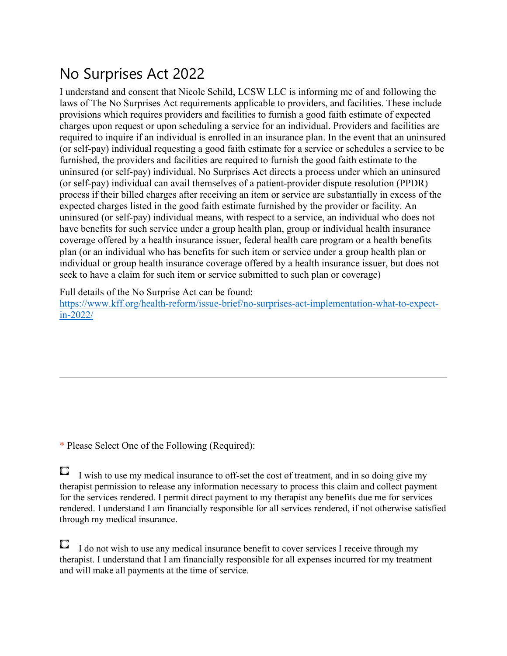# No Surprises Act 2022

I understand and consent that Nicole Schild, LCSW LLC is informing me of and following the laws of The No Surprises Act requirements applicable to providers, and facilities. These include provisions which requires providers and facilities to furnish a good faith estimate of expected charges upon request or upon scheduling a service for an individual. Providers and facilities are required to inquire if an individual is enrolled in an insurance plan. In the event that an uninsured (or self-pay) individual requesting a good faith estimate for a service or schedules a service to be furnished, the providers and facilities are required to furnish the good faith estimate to the uninsured (or self-pay) individual. No Surprises Act directs a process under which an uninsured (or self-pay) individual can avail themselves of a patient-provider dispute resolution (PPDR) process if their billed charges after receiving an item or service are substantially in excess of the expected charges listed in the good faith estimate furnished by the provider or facility. An uninsured (or self-pay) individual means, with respect to a service, an individual who does not have benefits for such service under a group health plan, group or individual health insurance coverage offered by a health insurance issuer, federal health care program or a health benefits plan (or an individual who has benefits for such item or service under a group health plan or individual or group health insurance coverage offered by a health insurance issuer, but does not seek to have a claim for such item or service submitted to such plan or coverage)

Full details of the No Surprise Act can be found:

https://www.kff.org/health-reform/issue-brief/no-surprises-act-implementation-what-to-expectin-2022/

\* Please Select One of the Following (Required):

O I wish to use my medical insurance to off-set the cost of treatment, and in so doing give my therapist permission to release any information necessary to process this claim and collect payment for the services rendered. I permit direct payment to my therapist any benefits due me for services rendered. I understand I am financially responsible for all services rendered, if not otherwise satisfied through my medical insurance.

O, I do not wish to use any medical insurance benefit to cover services I receive through my therapist. I understand that I am financially responsible for all expenses incurred for my treatment and will make all payments at the time of service.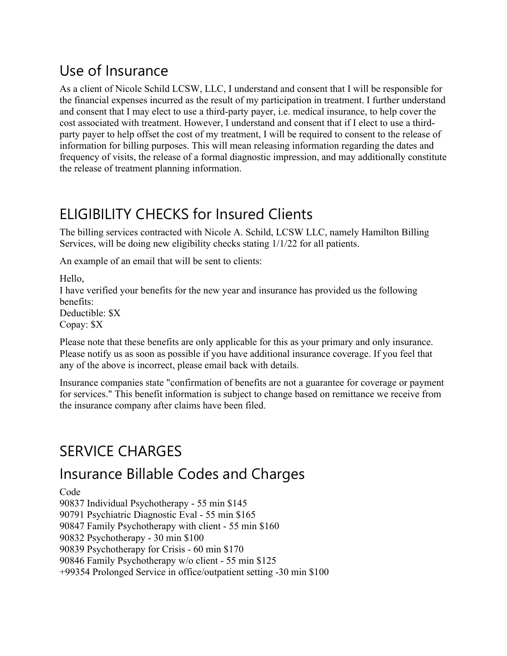## Use of Insurance

As a client of Nicole Schild LCSW, LLC, I understand and consent that I will be responsible for the financial expenses incurred as the result of my participation in treatment. I further understand and consent that I may elect to use a third-party payer, i.e. medical insurance, to help cover the cost associated with treatment. However, I understand and consent that if I elect to use a thirdparty payer to help offset the cost of my treatment, I will be required to consent to the release of information for billing purposes. This will mean releasing information regarding the dates and frequency of visits, the release of a formal diagnostic impression, and may additionally constitute the release of treatment planning information.

# ELIGIBILITY CHECKS for Insured Clients

The billing services contracted with Nicole A. Schild, LCSW LLC, namely Hamilton Billing Services, will be doing new eligibility checks stating 1/1/22 for all patients.

An example of an email that will be sent to clients:

Hello, I have verified your benefits for the new year and insurance has provided us the following benefits: Deductible: \$X Copay: \$X

Please note that these benefits are only applicable for this as your primary and only insurance. Please notify us as soon as possible if you have additional insurance coverage. If you feel that any of the above is incorrect, please email back with details.

Insurance companies state "confirmation of benefits are not a guarantee for coverage or payment for services." This benefit information is subject to change based on remittance we receive from the insurance company after claims have been filed.

### SERVICE CHARGES

#### Insurance Billable Codes and Charges

Code

90837 Individual Psychotherapy - 55 min \$145

90791 Psychiatric Diagnostic Eval - 55 min \$165

90847 Family Psychotherapy with client - 55 min \$160

90832 Psychotherapy - 30 min \$100

90839 Psychotherapy for Crisis - 60 min \$170

90846 Family Psychotherapy w/o client - 55 min \$125

+99354 Prolonged Service in office/outpatient setting -30 min \$100